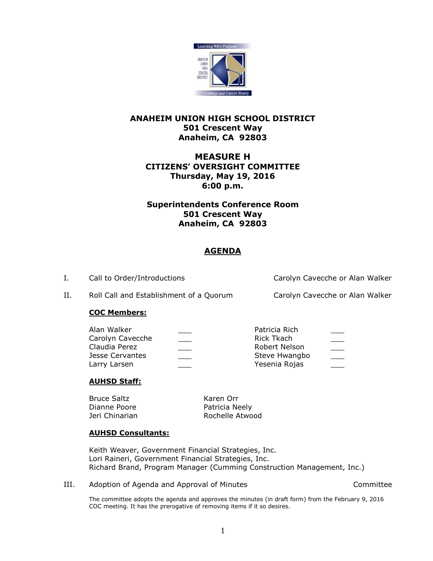

### **ANAHEIM UNION HIGH SCHOOL DISTRICT 501 Crescent Way Anaheim, CA 92803**

# **MEASURE H CITIZENS' OVERSIGHT COMMITTEE Thursday, May 19, 2016 6:00 p.m.**

# **Superintendents Conference Room 501 Crescent Way Anaheim, CA 92803**

# **AGENDA**

I. Call to Order/Introductions Carolyn Cavecche or Alan Walker

II. Roll Call and Establishment of a Quorum Carolyn Cavecche or Alan Walker

### **COC Members:**

| Alan Walker      | Patricia Rich |        |
|------------------|---------------|--------|
| Carolyn Cavecche | Rick Tkach    |        |
| Claudia Perez    | Robert Nelson |        |
| Jesse Cervantes  | Steve Hwangbo | $\sim$ |
| Larry Larsen     | Yesenia Rojas |        |
|                  |               |        |

### **AUHSD Staff:**

Bruce Saltz Karen Orr Dianne Poore **Patricia Neely** 

Jeri Chinarian Rochelle Atwood

### **AUHSD Consultants:**

Keith Weaver, Government Financial Strategies, Inc. Lori Raineri, Government Financial Strategies, Inc. Richard Brand, Program Manager (Cumming Construction Management, Inc.)

III. Adoption of Agenda and Approval of Minutes **Accord Accommittee** 

The committee adopts the agenda and approves the minutes (in draft form) from the February 9, 2016 COC meeting. It has the prerogative of removing items if it so desires.